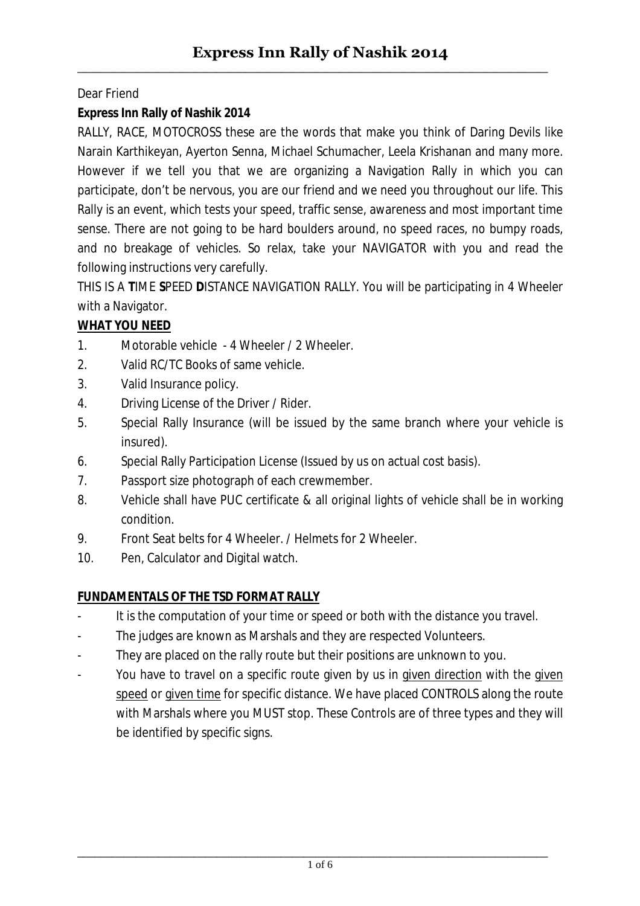## Dear Friend

# **Express Inn Rally of Nashik 2014**

RALLY, RACE, MOTOCROSS these are the words that make you think of Daring Devils like Narain Karthikeyan, Ayerton Senna, Michael Schumacher, Leela Krishanan and many more. However if we tell you that we are organizing a Navigation Rally in which you can participate, don't be nervous, you are our friend and we need you throughout our life. This Rally is an event, which tests your speed, traffic sense, awareness and most important time sense. There are not going to be hard boulders around, no speed races, no bumpy roads, and no breakage of vehicles. So relax, take your NAVIGATOR with you and read the following instructions very carefully.

THIS IS A **T**IME **S**PEED **D**ISTANCE NAVIGATION RALLY. You will be participating in 4 Wheeler with a Navigator.

# **WHAT YOU NEED**

- 1. Motorable vehicle 4 Wheeler / 2 Wheeler.
- 2. Valid RC/TC Books of same vehicle.
- 3. Valid Insurance policy.
- 4. Driving License of the Driver / Rider.
- 5. Special Rally Insurance (will be issued by the same branch where your vehicle is insured).
- 6. Special Rally Participation License (Issued by us on actual cost basis).
- 7. Passport size photograph of each crewmember.
- 8. Vehicle shall have PUC certificate & all original lights of vehicle shall be in working condition.
- 9. Front Seat belts for 4 Wheeler. / Helmets for 2 Wheeler.
- 10. Pen, Calculator and Digital watch.

## **FUNDAMENTALS OF THE TSD FORMAT RALLY**

- It is the computation of your time or speed or both with the distance you travel.
- The judges are known as Marshals and they are respected Volunteers.
- They are placed on the rally route but their positions are unknown to you.
- You have to travel on a specific route given by us in given direction with the given speed or given time for specific distance. We have placed CONTROLS along the route with Marshals where you MUST stop. These Controls are of three types and they will be identified by specific signs.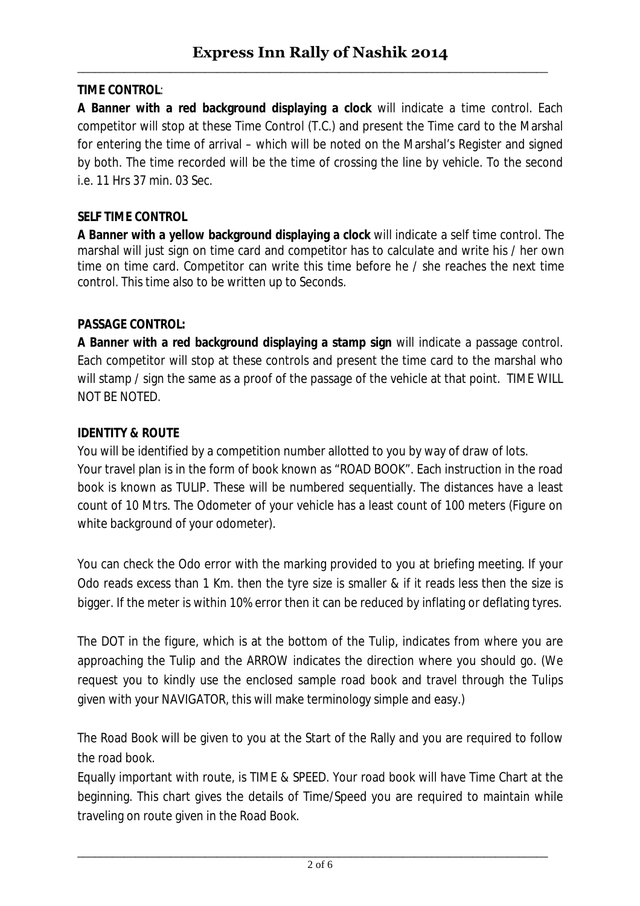# **TIME CONTROL**:

**A Banner with a red background displaying a clock** will indicate a time control. Each competitor will stop at these Time Control (T.C.) and present the Time card to the Marshal for entering the time of arrival – which will be noted on the Marshal's Register and signed by both. The time recorded will be the time of crossing the line by vehicle. To the second i.e. 11 Hrs 37 min. 03 Sec.

### **SELF TIME CONTROL**

**A Banner with a yellow background displaying a clock** will indicate a self time control. The marshal will just sign on time card and competitor has to calculate and write his / her own time on time card. Competitor can write this time before he / she reaches the next time control. This time also to be written up to Seconds.

#### **PASSAGE CONTROL:**

**A Banner with a red background displaying a stamp sign** will indicate a passage control. Each competitor will stop at these controls and present the time card to the marshal who will stamp / sign the same as a proof of the passage of the vehicle at that point. TIME WILL NOT BE NOTED.

#### **IDENTITY & ROUTE**

You will be identified by a competition number allotted to you by way of draw of lots. Your travel plan is in the form of book known as "ROAD BOOK". Each instruction in the road book is known as TULIP. These will be numbered sequentially. The distances have a least count of 10 Mtrs. The Odometer of your vehicle has a least count of 100 meters (Figure on white background of your odometer).

You can check the Odo error with the marking provided to you at briefing meeting. If your Odo reads excess than 1 Km. then the tyre size is smaller & if it reads less then the size is bigger. If the meter is within 10% error then it can be reduced by inflating or deflating tyres.

The DOT in the figure, which is at the bottom of the Tulip, indicates from where you are approaching the Tulip and the ARROW indicates the direction where you should go. (We request you to kindly use the enclosed sample road book and travel through the Tulips given with your NAVIGATOR, this will make terminology simple and easy.)

The Road Book will be given to you at the Start of the Rally and you are required to follow the road book.

Equally important with route, is TIME & SPEED. Your road book will have Time Chart at the beginning. This chart gives the details of Time/Speed you are required to maintain while traveling on route given in the Road Book.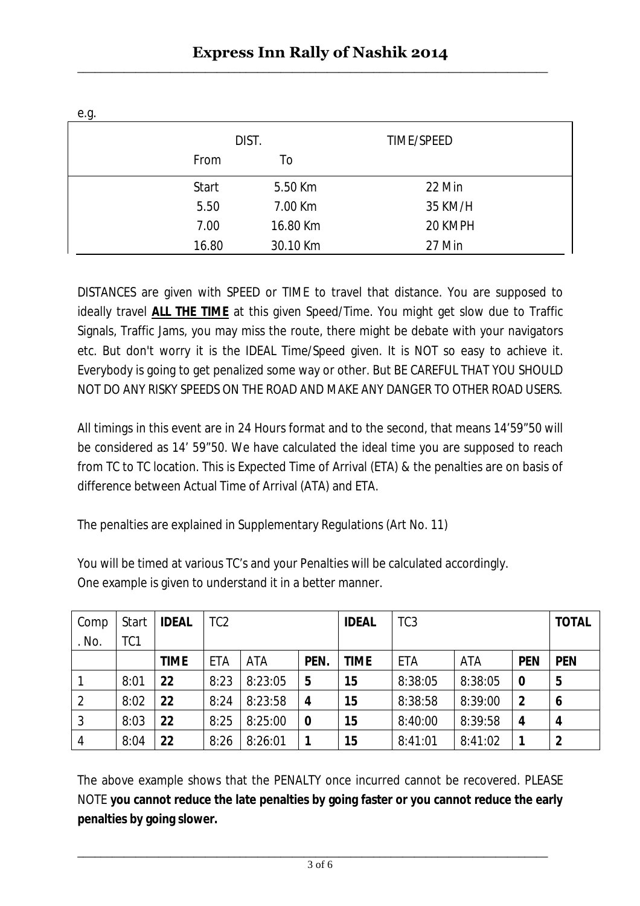| e.g. |              |          |            |  |
|------|--------------|----------|------------|--|
|      |              | DIST.    | TIME/SPEED |  |
|      | From         | To       |            |  |
|      | <b>Start</b> | 5.50 Km  | 22 Min     |  |
|      | 5.50         | 7.00 Km  | 35 KM/H    |  |
|      | 7.00         | 16.80 Km | 20 KMPH    |  |
|      | 16.80        | 30.10 Km | 27 Min     |  |

DISTANCES are given with SPEED or TIME to travel that distance. You are supposed to ideally travel **ALL THE TIME** at this given Speed/Time. You might get slow due to Traffic Signals, Traffic Jams, you may miss the route, there might be debate with your navigators etc. But don't worry it is the IDEAL Time/Speed given. It is NOT so easy to achieve it. Everybody is going to get penalized some way or other. But BE CAREFUL THAT YOU SHOULD NOT DO ANY RISKY SPEEDS ON THE ROAD AND MAKE ANY DANGER TO OTHER ROAD USERS.

All timings in this event are in 24 Hours format and to the second, that means 14'59"50 will be considered as 14' 59"50. We have calculated the ideal time you are supposed to reach from TC to TC location. This is Expected Time of Arrival (ETA) & the penalties are on basis of difference between Actual Time of Arrival (ATA) and ETA.

The penalties are explained in Supplementary Regulations (Art No. 11)

You will be timed at various TC's and your Penalties will be calculated accordingly. One example is given to understand it in a better manner.

| Comp         | Start           | <b>IDEAL</b> | TC <sub>2</sub> |            |      | <b>IDEAL</b> | TC <sub>3</sub> |         |              | <b>TOTAL</b> |
|--------------|-----------------|--------------|-----------------|------------|------|--------------|-----------------|---------|--------------|--------------|
| . No.        | TC <sub>1</sub> |              |                 |            |      |              |                 |         |              |              |
|              |                 | <b>TIME</b>  | <b>ETA</b>      | <b>ATA</b> | PEN. | <b>TIME</b>  | ETA             | ATA     | <b>PEN</b>   | <b>PEN</b>   |
|              | 8:01            | 22           | 8:23            | 8:23:05    | 5    | 15           | 8:38:05         | 8:38:05 | $\bf{0}$     | 5            |
| 2            | 8:02            | 22           | 8:24            | 8:23:58    | 4    | 15           | 8:38:58         | 8:39:00 | $\mathbf{2}$ | 6            |
| $\mathbf{3}$ | 8:03            | 22           | 8:25            | 8:25:00    | 0    | 15           | 8:40:00         | 8:39:58 | 4            | 4            |
| 4            | 8:04            | 22           | 8:26            | 8:26:01    |      | 15           | 8:41:01         | 8:41:02 | 1            | 2            |

The above example shows that the PENALTY once incurred cannot be recovered. PLEASE NOTE **you cannot reduce the late penalties by going faster or you cannot reduce the early penalties by going slower.**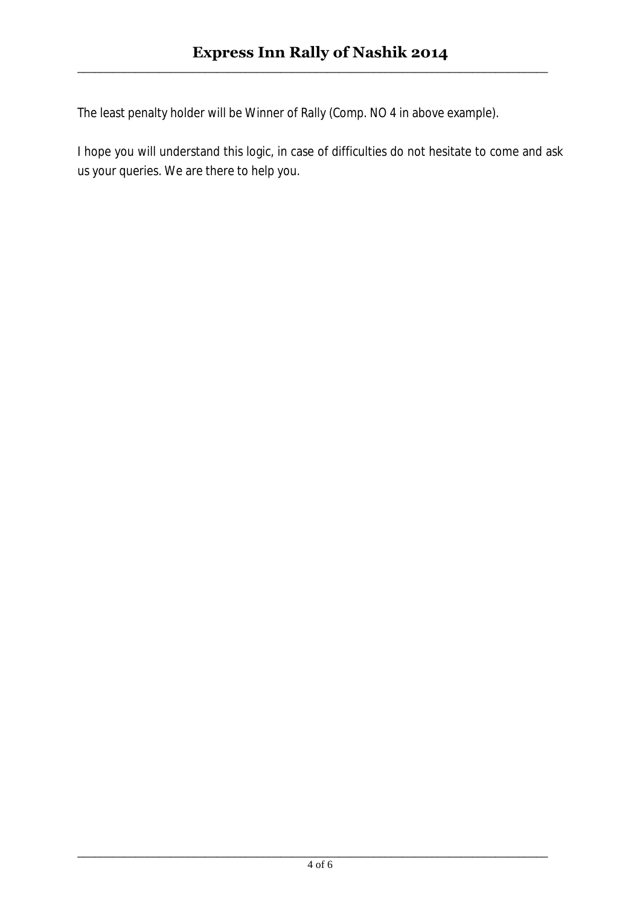The least penalty holder will be Winner of Rally (Comp. NO 4 in above example).

I hope you will understand this logic, in case of difficulties do not hesitate to come and ask us your queries. We are there to help you.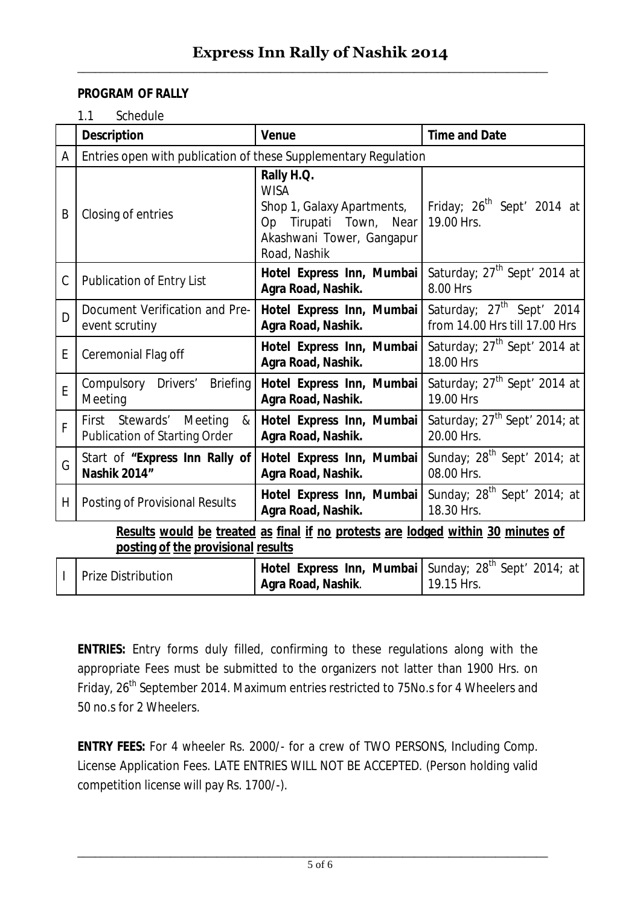### **PROGRAM OF RALLY**

1.1 Schedule

|                                                                                                                        | <b>Description</b>                                                   | <b>Venue</b>                                                                                                                          | <b>Time and Date</b>                                                   |  |  |  |
|------------------------------------------------------------------------------------------------------------------------|----------------------------------------------------------------------|---------------------------------------------------------------------------------------------------------------------------------------|------------------------------------------------------------------------|--|--|--|
| A                                                                                                                      | Entries open with publication of these Supplementary Regulation      |                                                                                                                                       |                                                                        |  |  |  |
| B                                                                                                                      | Closing of entries                                                   | Rally H.Q.<br><b>WISA</b><br>Shop 1, Galaxy Apartments,<br>Tirupati Town,<br>Near<br>Op.<br>Akashwani Tower, Gangapur<br>Road, Nashik | Friday; 26 <sup>th</sup> Sept <sup>'</sup> 2014 at<br>19.00 Hrs.       |  |  |  |
| C                                                                                                                      | <b>Publication of Entry List</b>                                     | Hotel Express Inn, Mumbai<br>Agra Road, Nashik.                                                                                       | Saturday; 27 <sup>th</sup> Sept' 2014 at<br>8.00 Hrs                   |  |  |  |
| D                                                                                                                      | Document Verification and Pre-<br>event scrutiny                     | Hotel Express Inn, Mumbai<br>Agra Road, Nashik.                                                                                       | Saturday; 27 <sup>th</sup> Sept' 2014<br>from 14.00 Hrs till 17.00 Hrs |  |  |  |
| E                                                                                                                      | Ceremonial Flag off                                                  | Hotel Express Inn, Mumbai<br>Agra Road, Nashik.                                                                                       | Saturday; 27 <sup>th</sup> Sept' 2014 at<br>18.00 Hrs                  |  |  |  |
| E                                                                                                                      | Compulsory Drivers'<br><b>Briefing</b><br>Meeting                    | Hotel Express Inn, Mumbai<br>Agra Road, Nashik.                                                                                       | Saturday; 27 <sup>th</sup> Sept' 2014 at<br>19.00 Hrs                  |  |  |  |
| F                                                                                                                      | First Stewards' Meeting<br>&<br><b>Publication of Starting Order</b> | Hotel Express Inn, Mumbai<br>Agra Road, Nashik.                                                                                       | Saturday; 27 <sup>th</sup> Sept' 2014; at<br>20.00 Hrs.                |  |  |  |
| G                                                                                                                      | Start of "Express Inn Rally of<br><b>Nashik 2014"</b>                | Hotel Express Inn, Mumbai<br>Agra Road, Nashik.                                                                                       | Sunday; $28^{th}$ Sept' 2014; at<br>08.00 Hrs.                         |  |  |  |
| H.                                                                                                                     | <b>Posting of Provisional Results</b>                                | Hotel Express Inn, Mumbai<br>Agra Road, Nashik.                                                                                       | Sunday; $28^{th}$ Sept' 2014; at<br>18.30 Hrs.                         |  |  |  |
| Results would be treated as final if no protests are lodged within 30 minutes of<br>posting of the provisional results |                                                                      |                                                                                                                                       |                                                                        |  |  |  |
| $\mathsf{I}$                                                                                                           | <b>Prize Distribution</b>                                            | Hotel Express Inn, Mumbai  <br>Agra Road, Nashik.                                                                                     | Sunday; 28 <sup>th</sup> Sept' 2014; at<br>19.15 Hrs.                  |  |  |  |

**ENTRIES:** Entry forms duly filled, confirming to these regulations along with the appropriate Fees must be submitted to the organizers not latter than 1900 Hrs. on Friday, 26<sup>th</sup> September 2014. Maximum entries restricted to 75No.s for 4 Wheelers and 50 no.s for 2 Wheelers.

**ENTRY FEES:** For 4 wheeler Rs. 2000/- for a crew of TWO PERSONS, Including Comp. License Application Fees. LATE ENTRIES WILL NOT BE ACCEPTED. (Person holding valid competition license will pay Rs. 1700/-).